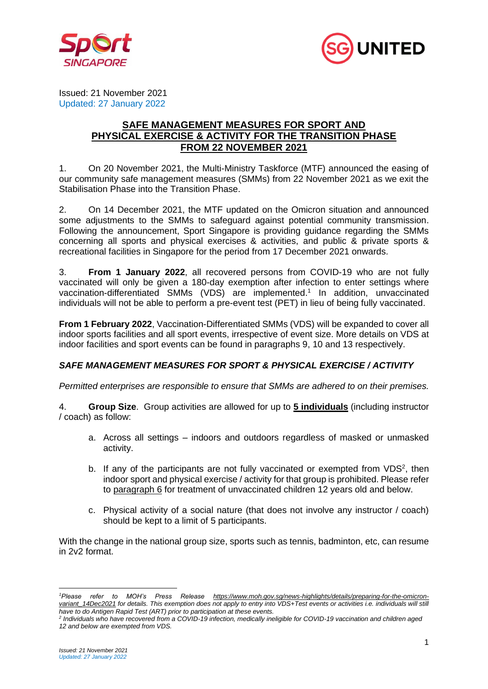



Issued: 21 November 2021 Updated: 27 January 2022

## **SAFE MANAGEMENT MEASURES FOR SPORT AND PHYSICAL EXERCISE & ACTIVITY FOR THE TRANSITION PHASE FROM 22 NOVEMBER 2021**

1. On 20 November 2021, the Multi-Ministry Taskforce (MTF) announced the easing of our community safe management measures (SMMs) from 22 November 2021 as we exit the Stabilisation Phase into the Transition Phase.

2. On 14 December 2021, the MTF updated on the Omicron situation and announced some adjustments to the SMMs to safeguard against potential community transmission. Following the announcement, Sport Singapore is providing guidance regarding the SMMs concerning all sports and physical exercises & activities, and public & private sports & recreational facilities in Singapore for the period from 17 December 2021 onwards.

3. **From 1 January 2022**, all recovered persons from COVID-19 who are not fully vaccinated will only be given a 180-day exemption after infection to enter settings where vaccination-differentiated SMMs (VDS) are implemented. 1 In addition, unvaccinated individuals will not be able to perform a pre-event test (PET) in lieu of being fully vaccinated.

**From 1 February 2022**, Vaccination-Differentiated SMMs (VDS) will be expanded to cover all indoor sports facilities and all sport events, irrespective of event size. More details on VDS at indoor facilities and sport events can be found in paragraphs 9, 10 and 13 respectively.

## *SAFE MANAGEMENT MEASURES FOR SPORT & PHYSICAL EXERCISE / ACTIVITY*

*Permitted enterprises are responsible to ensure that SMMs are adhered to on their premises.*

4. **Group Size**. Group activities are allowed for up to **5 individuals** (including instructor / coach) as follow:

- a. Across all settings indoors and outdoors regardless of masked or unmasked activity.
- b. If any of the participants are not fully vaccinated or exempted from  $VDS<sup>2</sup>$ , then indoor sport and physical exercise / activity for that group is prohibited. Please refer to paragraph 6 for treatment of unvaccinated children 12 years old and below.
- c. Physical activity of a social nature (that does not involve any instructor / coach) should be kept to a limit of 5 participants.

With the change in the national group size, sports such as tennis, badminton, etc, can resume in 2v2 format.

*<sup>1</sup>Please refer to MOH's Press Release https://www.moh.gov.sg/news-highlights/details/preparing-for-the-omicron*variant\_14Dec2021 for details. This exemption does not apply to entry into VDS+Test events or activities i.e. individuals will still *have to do Antigen Rapid Test (ART) prior to participation at these events.* 

*<sup>2</sup> Individuals who have recovered from a COVID-19 infection, medically ineligible for COVID-19 vaccination and children aged 12 and below are exempted from VDS.*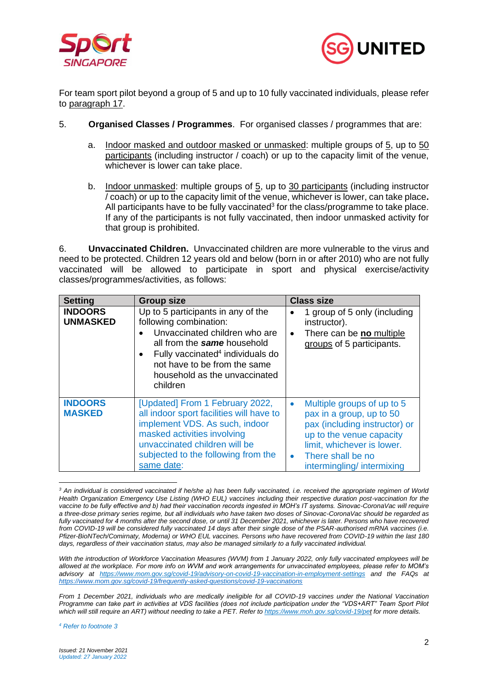



For team sport pilot beyond a group of 5 and up to 10 fully vaccinated individuals, please refer to paragraph 17.

- 5. **Organised Classes / Programmes**. For organised classes / programmes that are:
	- a. Indoor masked and outdoor masked or unmasked: multiple groups of 5, up to 50 participants (including instructor / coach) or up to the capacity limit of the venue, whichever is lower can take place.
	- b. Indoor unmasked: multiple groups of 5, up to 30 participants (including instructor / coach) or up to the capacity limit of the venue, whichever is lower, can take place**.** All participants have to be fully vaccinated $3$  for the class/programme to take place. If any of the participants is not fully vaccinated, then indoor unmasked activity for that group is prohibited.

6. **Unvaccinated Children.** Unvaccinated children are more vulnerable to the virus and need to be protected. Children 12 years old and below (born in or after 2010) who are not fully vaccinated will be allowed to participate in sport and physical exercise/activity classes/programmes/activities, as follows:

| <b>Setting</b>                    | <b>Group size</b>                                                                                                                                                                                                                                         | <b>Class size</b>                                                                                                                                                                                                             |
|-----------------------------------|-----------------------------------------------------------------------------------------------------------------------------------------------------------------------------------------------------------------------------------------------------------|-------------------------------------------------------------------------------------------------------------------------------------------------------------------------------------------------------------------------------|
| <b>INDOORS</b><br><b>UNMASKED</b> | Up to 5 participants in any of the<br>following combination:<br>Unvaccinated children who are<br>all from the same household<br>Fully vaccinated <sup>4</sup> individuals do<br>not have to be from the same<br>household as the unvaccinated<br>children | 1 group of 5 only (including<br>instructor).<br>There can be no multiple<br>$\bullet$<br>groups of 5 participants.                                                                                                            |
| <b>INDOORS</b><br><b>MASKED</b>   | [Updated] From 1 February 2022,<br>all indoor sport facilities will have to<br>implement VDS. As such, indoor<br>masked activities involving<br>unvaccinated children will be<br>subjected to the following from the<br>same date:                        | Multiple groups of up to 5<br>$\bullet$<br>pax in a group, up to 50<br>pax (including instructor) or<br>up to the venue capacity<br>limit, whichever is lower.<br>There shall be no<br>$\bullet$<br>intermingling/intermixing |

*<sup>3</sup> An individual is considered vaccinated if he/she a) has been fully vaccinated, i.e. received the appropriate regimen of World Health Organization Emergency Use Listing (WHO EUL) vaccines including their respective duration post-vaccination for the vaccine to be fully effective and b) had their vaccination records ingested in MOH's IT systems. Sinovac-CoronaVac will require a three-dose primary series regime, but all individuals who have taken two doses of Sinovac-CoronaVac should be regarded as fully vaccinated for 4 months after the second dose, or until 31 December 2021, whichever is later. Persons who have recovered from COVID-19 will be considered fully vaccinated 14 days after their single dose of the PSAR-authorised mRNA vaccines (i.e. Pfizer-BioNTech/Comirnaty, Moderna) or WHO EUL vaccines. Persons who have recovered from COVID-19 within the last 180 days, regardless of their vaccination status, may also be managed similarly to a fully vaccinated individual.*

*With the introduction of Workforce Vaccination Measures (WVM) from 1 January 2022, only fully vaccinated employees will be allowed at the workplace. For more info on WVM and work arrangements for unvaccinated employees, please refer to MOM's advisory at https://www.mom.gov.sg/covid-19/advisory-on-covid-19-vaccination-in-employment-settings and the FAQs at https://www.mom.gov.sg/covid-19/frequently-asked-questions/covid-19-vaccinations*

*From 1 December 2021, individuals who are medically ineligible for all COVID-19 vaccines under the National Vaccination Programme can take part in activities at VDS facilities (does not include participation under the "VDS+ART" Team Sport Pilot which will still require an ART) without needing to take a PET. Refer to https://www.moh.gov.sg/covid-19/pet for more details.*

*<sup>4</sup> Refer to footnote 3*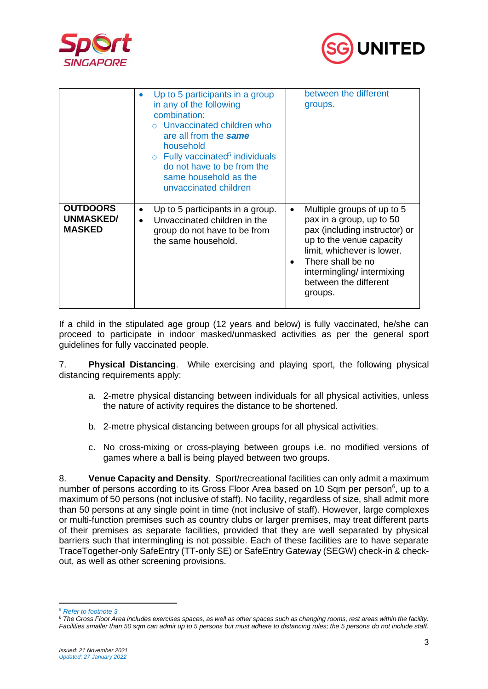



|                                                      | Up to 5 participants in a group<br>in any of the following<br>combination:<br>o Unvaccinated children who<br>are all from the same<br>household<br>$\circ$ Fully vaccinated <sup>5</sup> individuals<br>do not have to be from the<br>same household as the<br>unvaccinated children | between the different<br>groups.                                                                                                                                                                                                                     |
|------------------------------------------------------|--------------------------------------------------------------------------------------------------------------------------------------------------------------------------------------------------------------------------------------------------------------------------------------|------------------------------------------------------------------------------------------------------------------------------------------------------------------------------------------------------------------------------------------------------|
| <b>OUTDOORS</b><br><b>UNMASKED/</b><br><b>MASKED</b> | Up to 5 participants in a group.<br>Unvaccinated children in the<br>group do not have to be from<br>the same household.                                                                                                                                                              | Multiple groups of up to 5<br>$\bullet$<br>pax in a group, up to 50<br>pax (including instructor) or<br>up to the venue capacity<br>limit, whichever is lower.<br>There shall be no<br>intermingling/intermixing<br>between the different<br>groups. |

If a child in the stipulated age group (12 years and below) is fully vaccinated, he/she can proceed to participate in indoor masked/unmasked activities as per the general sport guidelines for fully vaccinated people.

7. **Physical Distancing**. While exercising and playing sport, the following physical distancing requirements apply:

- a. 2-metre physical distancing between individuals for all physical activities, unless the nature of activity requires the distance to be shortened.
- b. 2-metre physical distancing between groups for all physical activities.
- c. No cross-mixing or cross-playing between groups i.e. no modified versions of games where a ball is being played between two groups.

8. **Venue Capacity and Density**. Sport/recreational facilities can only admit a maximum number of persons according to its Gross Floor Area based on 10 Sqm per person<sup>6</sup>, up to a maximum of 50 persons (not inclusive of staff). No facility, regardless of size, shall admit more than 50 persons at any single point in time (not inclusive of staff). However, large complexes or multi-function premises such as country clubs or larger premises, may treat different parts of their premises as separate facilities, provided that they are well separated by physical barriers such that intermingling is not possible. Each of these facilities are to have separate TraceTogether-only SafeEntry (TT-only SE) or SafeEntry Gateway (SEGW) check-in & checkout, as well as other screening provisions.

*<sup>5</sup> Refer to footnote 3*

*<sup>6</sup> The Gross Floor Area includes exercises spaces, as well as other spaces such as changing rooms, rest areas within the facility. Facilities smaller than 50 sqm can admit up to 5 persons but must adhere to distancing rules; the 5 persons do not include staff.*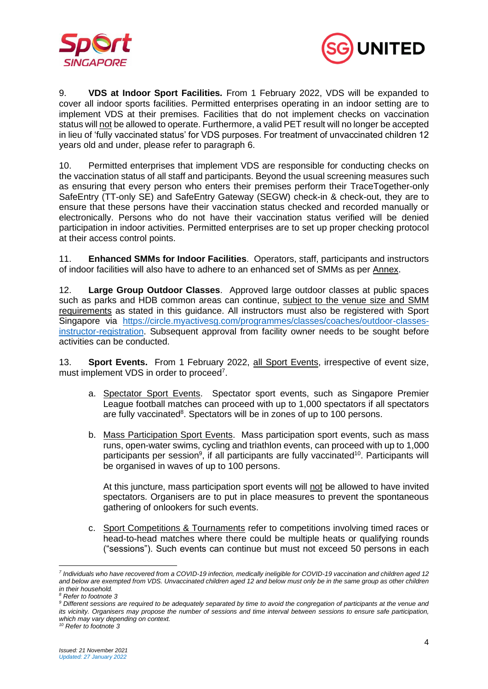



9. **VDS at Indoor Sport Facilities***.* From 1 February 2022, VDS will be expanded to cover all indoor sports facilities. Permitted enterprises operating in an indoor setting are to implement VDS at their premises. Facilities that do not implement checks on vaccination status will not be allowed to operate. Furthermore, a valid PET result will no longer be accepted in lieu of 'fully vaccinated status' for VDS purposes. For treatment of unvaccinated children 12 years old and under, please refer to paragraph 6.

10. Permitted enterprises that implement VDS are responsible for conducting checks on the vaccination status of all staff and participants. Beyond the usual screening measures such as ensuring that every person who enters their premises perform their TraceTogether-only SafeEntry (TT-only SE) and SafeEntry Gateway (SEGW) check-in & check-out, they are to ensure that these persons have their vaccination status checked and recorded manually or electronically. Persons who do not have their vaccination status verified will be denied participation in indoor activities. Permitted enterprises are to set up proper checking protocol at their access control points.

11. **Enhanced SMMs for Indoor Facilities**. Operators, staff, participants and instructors of indoor facilities will also have to adhere to an enhanced set of SMMs as per Annex.

12. **Large Group Outdoor Classes**. Approved large outdoor classes at public spaces such as parks and HDB common areas can continue, subject to the venue size and SMM requirements as stated in this guidance. All instructors must also be registered with Sport Singapore via https://circle.myactivesg.com/programmes/classes/coaches/outdoor-classesinstructor-registration. Subsequent approval from facility owner needs to be sought before activities can be conducted.

13. **Sport Events.** From 1 February 2022, all Sport Events, irrespective of event size, must implement VDS in order to proceed<sup>7</sup>.

- a. Spectator Sport Events. Spectator sport events, such as Singapore Premier League football matches can proceed with up to 1,000 spectators if all spectators are fully vaccinated<sup>8</sup>. Spectators will be in zones of up to 100 persons.
- b. Mass Participation Sport Events. Mass participation sport events, such as mass runs, open-water swims, cycling and triathlon events, can proceed with up to 1,000 participants per session<sup>9</sup>, if all participants are fully vaccinated<sup>10</sup>. Participants will be organised in waves of up to 100 persons.

At this juncture, mass participation sport events will not be allowed to have invited spectators. Organisers are to put in place measures to prevent the spontaneous gathering of onlookers for such events.

c. Sport Competitions & Tournaments refer to competitions involving timed races or head-to-head matches where there could be multiple heats or qualifying rounds ("sessions"). Such events can continue but must not exceed 50 persons in each

*<sup>7</sup> Individuals who have recovered from a COVID-19 infection, medically ineligible for COVID-19 vaccination and children aged 12 and below are exempted from VDS. Unvaccinated children aged 12 and below must only be in the same group as other children in their household.* 

*<sup>8</sup> Refer to footnote 3*

*<sup>9</sup> Different sessions are required to be adequately separated by time to avoid the congregation of participants at the venue and its vicinity. Organisers may propose the number of sessions and time interval between sessions to ensure safe participation, which may vary depending on context.*

*<sup>10</sup> Refer to footnote 3*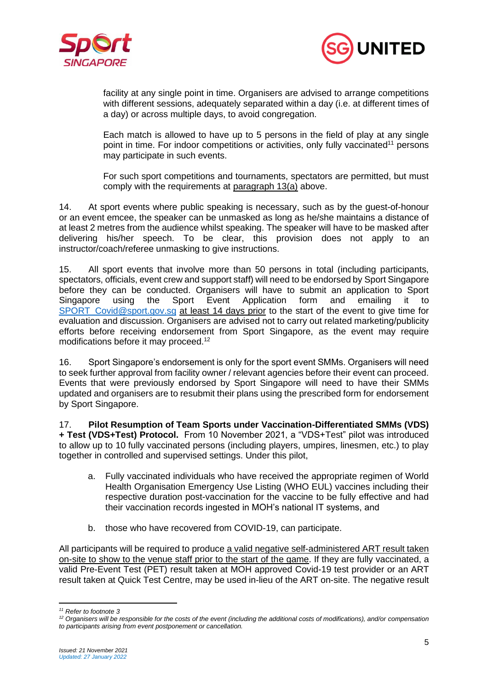



facility at any single point in time. Organisers are advised to arrange competitions with different sessions, adequately separated within a day (i.e. at different times of a day) or across multiple days, to avoid congregation.

Each match is allowed to have up to 5 persons in the field of play at any single point in time. For indoor competitions or activities, only fully vaccinated<sup>11</sup> persons may participate in such events.

For such sport competitions and tournaments, spectators are permitted, but must comply with the requirements at paragraph 13(a) above.

14. At sport events where public speaking is necessary, such as by the guest-of-honour or an event emcee, the speaker can be unmasked as long as he/she maintains a distance of at least 2 metres from the audience whilst speaking. The speaker will have to be masked after delivering his/her speech. To be clear, this provision does not apply to an instructor/coach/referee unmasking to give instructions.

15. All sport events that involve more than 50 persons in total (including participants, spectators, officials, event crew and support staff) will need to be endorsed by Sport Singapore before they can be conducted. Organisers will have to submit an application to Sport Singapore using the Sport Event Application form and emailing it to SPORT Covid@sport.gov.sg at least 14 days prior to the start of the event to give time for evaluation and discussion. Organisers are advised not to carry out related marketing/publicity efforts before receiving endorsement from Sport Singapore, as the event may require modifications before it may proceed.<sup>12</sup>

16. Sport Singapore's endorsement is only for the sport event SMMs. Organisers will need to seek further approval from facility owner / relevant agencies before their event can proceed. Events that were previously endorsed by Sport Singapore will need to have their SMMs updated and organisers are to resubmit their plans using the prescribed form for endorsement by Sport Singapore.

17. **Pilot Resumption of Team Sports under Vaccination-Differentiated SMMs (VDS) + Test (VDS+Test) Protocol.** From 10 November 2021, a "VDS+Test" pilot was introduced to allow up to 10 fully vaccinated persons (including players, umpires, linesmen, etc.) to play together in controlled and supervised settings. Under this pilot,

- a. Fully vaccinated individuals who have received the appropriate regimen of World Health Organisation Emergency Use Listing (WHO EUL) vaccines including their respective duration post-vaccination for the vaccine to be fully effective and had their vaccination records ingested in MOH's national IT systems, and
- b. those who have recovered from COVID-19, can participate.

All participants will be required to produce a valid negative self-administered ART result taken on-site to show to the venue staff prior to the start of the game. If they are fully vaccinated, a valid Pre-Event Test (PET) result taken at MOH approved Covid-19 test provider or an ART result taken at Quick Test Centre, may be used in-lieu of the ART on-site. The negative result

*<sup>11</sup> Refer to footnote 3*

*<sup>12</sup> Organisers will be responsible for the costs of the event (including the additional costs of modifications), and/or compensation to participants arising from event postponement or cancellation.*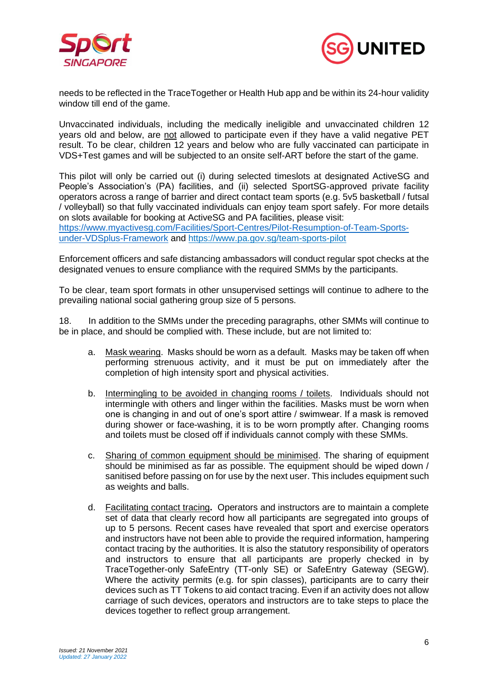



needs to be reflected in the TraceTogether or Health Hub app and be within its 24-hour validity window till end of the game.

Unvaccinated individuals, including the medically ineligible and unvaccinated children 12 years old and below, are not allowed to participate even if they have a valid negative PET result. To be clear, children 12 years and below who are fully vaccinated can participate in VDS+Test games and will be subjected to an onsite self-ART before the start of the game.

This pilot will only be carried out (i) during selected timeslots at designated ActiveSG and People's Association's (PA) facilities, and (ii) selected SportSG-approved private facility operators across a range of barrier and direct contact team sports (e.g. 5v5 basketball / futsal / volleyball) so that fully vaccinated individuals can enjoy team sport safely. For more details on slots available for booking at ActiveSG and PA facilities, please visit: https://www.myactivesg.com/Facilities/Sport-Centres/Pilot-Resumption-of-Team-Sportsunder-VDSplus-Framework and https://www.pa.gov.sg/team-sports-pilot

Enforcement officers and safe distancing ambassadors will conduct regular spot checks at the designated venues to ensure compliance with the required SMMs by the participants.

To be clear, team sport formats in other unsupervised settings will continue to adhere to the prevailing national social gathering group size of 5 persons.

18. In addition to the SMMs under the preceding paragraphs, other SMMs will continue to be in place, and should be complied with. These include, but are not limited to:

- a. Mask wearing. Masks should be worn as a default. Masks may be taken off when performing strenuous activity, and it must be put on immediately after the completion of high intensity sport and physical activities.
- b. Intermingling to be avoided in changing rooms / toilets. Individuals should not intermingle with others and linger within the facilities. Masks must be worn when one is changing in and out of one's sport attire / swimwear. If a mask is removed during shower or face-washing, it is to be worn promptly after. Changing rooms and toilets must be closed off if individuals cannot comply with these SMMs.
- c. Sharing of common equipment should be minimised. The sharing of equipment should be minimised as far as possible. The equipment should be wiped down / sanitised before passing on for use by the next user. This includes equipment such as weights and balls.
- d. Facilitating contact tracing**.** Operators and instructors are to maintain a complete set of data that clearly record how all participants are segregated into groups of up to 5 persons. Recent cases have revealed that sport and exercise operators and instructors have not been able to provide the required information, hampering contact tracing by the authorities. It is also the statutory responsibility of operators and instructors to ensure that all participants are properly checked in by TraceTogether-only SafeEntry (TT-only SE) or SafeEntry Gateway (SEGW). Where the activity permits (e.g. for spin classes), participants are to carry their devices such as TT Tokens to aid contact tracing. Even if an activity does not allow carriage of such devices, operators and instructors are to take steps to place the devices together to reflect group arrangement.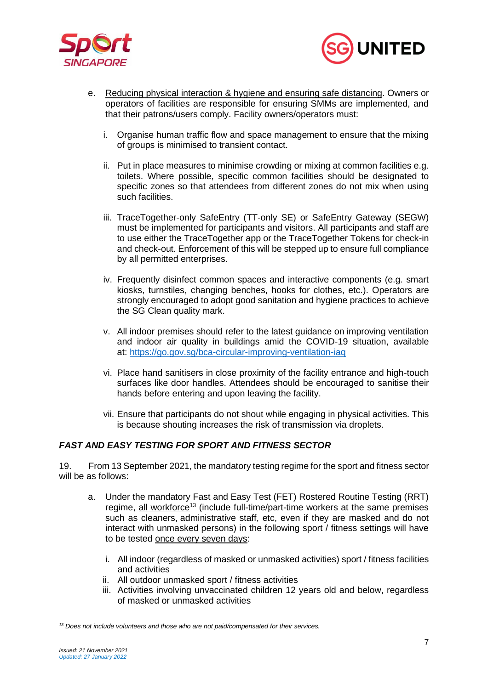



- e. Reducing physical interaction & hygiene and ensuring safe distancing. Owners or operators of facilities are responsible for ensuring SMMs are implemented, and that their patrons/users comply. Facility owners/operators must:
	- i. Organise human traffic flow and space management to ensure that the mixing of groups is minimised to transient contact.
	- ii. Put in place measures to minimise crowding or mixing at common facilities e.g. toilets. Where possible, specific common facilities should be designated to specific zones so that attendees from different zones do not mix when using such facilities.
	- iii. TraceTogether-only SafeEntry (TT-only SE) or SafeEntry Gateway (SEGW) must be implemented for participants and visitors. All participants and staff are to use either the TraceTogether app or the TraceTogether Tokens for check-in and check-out. Enforcement of this will be stepped up to ensure full compliance by all permitted enterprises.
	- iv. Frequently disinfect common spaces and interactive components (e.g. smart kiosks, turnstiles, changing benches, hooks for clothes, etc.). Operators are strongly encouraged to adopt good sanitation and hygiene practices to achieve the SG Clean quality mark.
	- v. All indoor premises should refer to the latest guidance on improving ventilation and indoor air quality in buildings amid the COVID-19 situation, available at: https://go.gov.sg/bca-circular-improving-ventilation-iaq
	- vi. Place hand sanitisers in close proximity of the facility entrance and high-touch surfaces like door handles. Attendees should be encouraged to sanitise their hands before entering and upon leaving the facility.
	- vii. Ensure that participants do not shout while engaging in physical activities. This is because shouting increases the risk of transmission via droplets.

## *FAST AND EASY TESTING FOR SPORT AND FITNESS SECTOR*

19. From 13 September 2021, the mandatory testing regime for the sport and fitness sector will be as follows:

- a. Under the mandatory Fast and Easy Test (FET) Rostered Routine Testing (RRT) regime, all workforce<sup>13</sup> (include full-time/part-time workers at the same premises such as cleaners, administrative staff, etc, even if they are masked and do not interact with unmasked persons) in the following sport / fitness settings will have to be tested once every seven days:
	- i. All indoor (regardless of masked or unmasked activities) sport / fitness facilities and activities
	- ii. All outdoor unmasked sport / fitness activities
	- iii. Activities involving unvaccinated children 12 years old and below, regardless of masked or unmasked activities

*<sup>13</sup> Does not include volunteers and those who are not paid/compensated for their services.*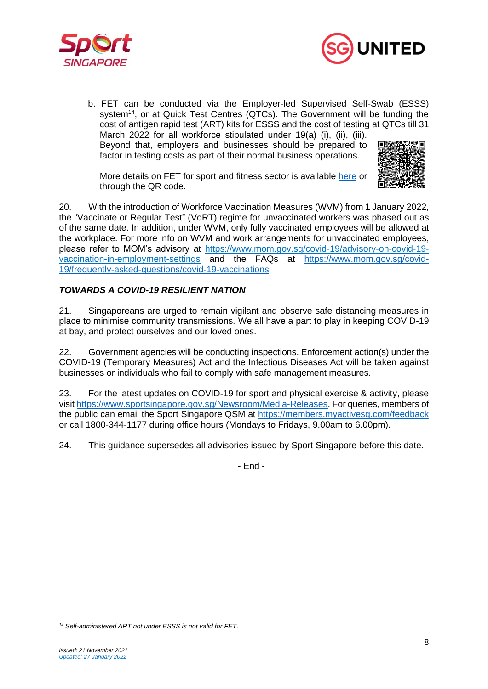



b. FET can be conducted via the Employer-led Supervised Self-Swab (ESSS) system<sup>14</sup>, or at Quick Test Centres (QTCs). The Government will be funding the cost of antigen rapid test (ART) kits for ESSS and the cost of testing at QTCs till 31 March 2022 for all workforce stipulated under 19(a) (i), (ii), (iii). Beyond that, employers and businesses should be prepared to factor in testing costs as part of their normal business operations.

More details on FET for sport and fitness sector is available here or through the QR code.



20. With the introduction of Workforce Vaccination Measures (WVM) from 1 January 2022, the "Vaccinate or Regular Test" (VoRT) regime for unvaccinated workers was phased out as of the same date. In addition, under WVM, only fully vaccinated employees will be allowed at the workplace. For more info on WVM and work arrangements for unvaccinated employees, please refer to MOM's advisory at https://www.mom.gov.sg/covid-19/advisory-on-covid-19 vaccination-in-employment-settings and the FAQs at https://www.mom.gov.sg/covid-19/frequently-asked-questions/covid-19-vaccinations

# *TOWARDS A COVID-19 RESILIENT NATION*

21. Singaporeans are urged to remain vigilant and observe safe distancing measures in place to minimise community transmissions. We all have a part to play in keeping COVID-19 at bay, and protect ourselves and our loved ones.

22. Government agencies will be conducting inspections. Enforcement action(s) under the COVID-19 (Temporary Measures) Act and the Infectious Diseases Act will be taken against businesses or individuals who fail to comply with safe management measures.

23. For the latest updates on COVID-19 for sport and physical exercise & activity, please visit https://www.sportsingapore.gov.sg/Newsroom/Media-Releases. For queries, members of the public can email the Sport Singapore QSM at https://members.myactivesg.com/feedback or call 1800-344-1177 during office hours (Mondays to Fridays, 9.00am to 6.00pm).

24. This guidance supersedes all advisories issued by Sport Singapore before this date.

- End -

*<sup>14</sup> Self-administered ART not under ESSS is not valid for FET.*